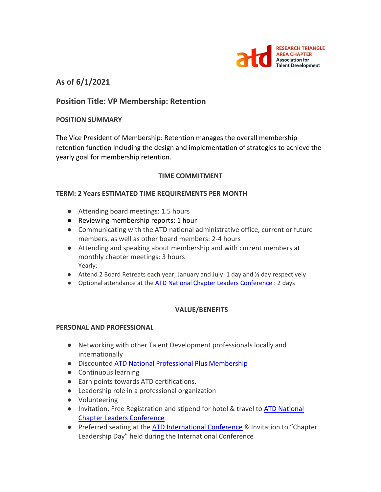

# **As of 6/1/2021**

# **Position Title: VP Membership: Retention**

# **POSITION SUMMARY**

The Vice President of Membership: Retention manages the overall membership retention function including the design and implementation of strategies to achieve the yearly goal for membership retention.

# **TIME COMMITMENT**

#### **TERM: 2 Years ESTIMATED TIME REQUIREMENTS PER MONTH**

- Attending board meetings: 1.5 hours
- Reviewing membership reports: 1 hour
- Communicating with the ATD national administrative office, current or future members, as well as other board members: 2-4 hours
- Attending and speaking about membership and with current members at monthly chapter meetings: 3 hours Yearly:
- $\bullet$  Attend 2 Board Retreats each year; January and July: 1 day and  $\frac{1}{2}$  day respectively
- Optional attendance at the **ATD National Chapter Leaders Conference** : 2 days

# **VALUE/BENEFITS**

#### **PERSONAL AND PROFESSIONAL**

- Networking with other Talent Development professionals locally and internationally
- Discounted [ATD National Professional Plus Membership](https://checkout.td.org/Membership)
- Continuous learning
- Earn points towards ATD certifications.
- Leadership role in a professional organization
- Volunteering
- Invitation, Free Registration and stipend for hotel & travel to ATD National [Chapter Leaders Conference](https://events.td.org/Chapter-Leaders-Conference)
- Preferred seating at the **ATD International Conference &** Invitation to "Chapter Leadership Day" held during the International Conference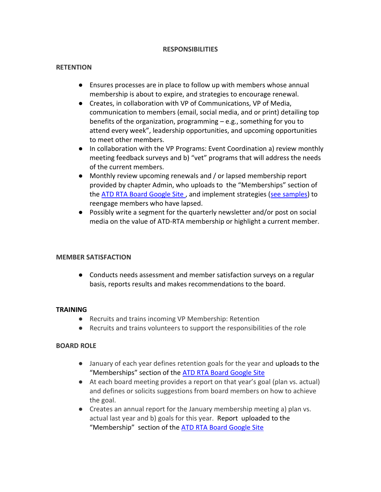#### **RESPONSIBILITIES**

### **RETENTION**

- Ensures processes are in place to follow up with members whose annual membership is about to expire, and strategies to encourage renewal.
- Creates, in collaboration with VP of Communications, VP of Media, communication to members (email, social media, and or print) detailing top benefits of the organization, programming – e.g., something for you to attend every week", leadership opportunities, and upcoming opportunities to meet other members.
- In collaboration with the VP Programs: Event Coordination a) review monthly meeting feedback surveys and b) "vet" programs that will address the needs of the current members.
- Monthly review upcoming renewals and / or lapsed membership report provided by chapter Admin, who uploads to the "Memberships" section of the [ATD RTA Board Google Site](https://sites.google.com/site/rtaboardofdirectors/home), and implement strategies [\(see samples\)](https://www.td.org/chapters/clc/sos/membership-engagement) to reengage members who have lapsed.
- Possibly write a segment for the quarterly newsletter and/or post on social media on the value of ATD-RTA membership or highlight a current member.

#### **MEMBER SATISFACTION**

● Conducts needs assessment and member satisfaction surveys on a regular basis, reports results and makes recommendations to the board.

#### **TRAINING**

- Recruits and trains incoming VP Membership: Retention
- Recruits and trains volunteers to support the responsibilities of the role

# **BOARD ROLE**

- January of each year defines retention goals for the year and uploads to the "Memberships" section of the [ATD RTA Board Google Site](https://sites.google.com/site/rtaboardofdirectors/home)
- At each board meeting provides a report on that year's goal (plan vs. actual) and defines or solicits suggestions from board members on how to achieve the goal.
- Creates an annual report for the January membership meeting a) plan vs. actual last year and b) goals for this year. Report uploaded to the "Membership" section of the [ATD RTA Board Google Site](https://sites.google.com/site/rtaboardofdirectors/home)